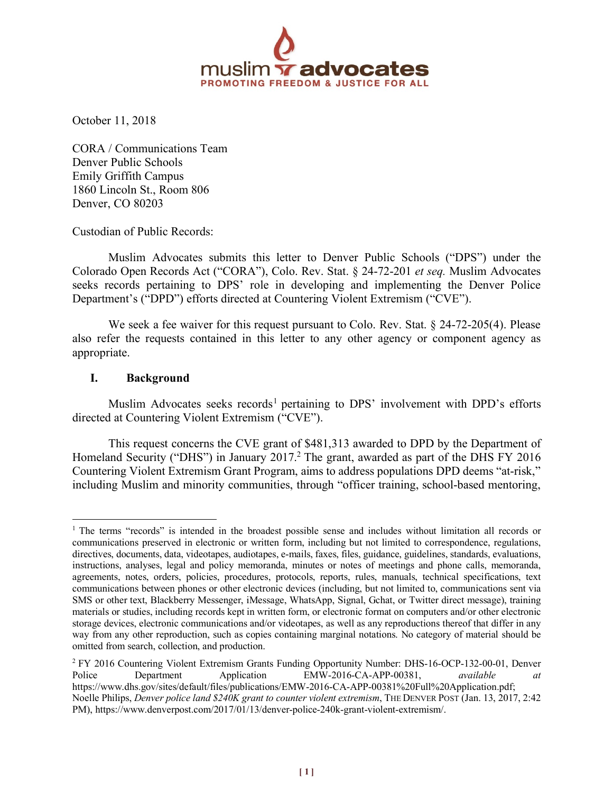

October 11, 2018

CORA / Communications Team Denver Public Schools Emily Griffith Campus 1860 Lincoln St., Room 806 Denver, CO 80203

Custodian of Public Records:

Muslim Advocates submits this letter to Denver Public Schools ("DPS") under the Colorado Open Records Act ("CORA"), Colo. Rev. Stat. § 24-72-201 *et seq.* Muslim Advocates seeks records pertaining to DPS' role in developing and implementing the Denver Police Department's ("DPD") efforts directed at Countering Violent Extremism ("CVE").

We seek a fee waiver for this request pursuant to Colo. Rev. Stat. § 24-72-205(4). Please also refer the requests contained in this letter to any other agency or component agency as appropriate.

## **I. Background**

Muslim Advocates seeks records<sup>1</sup> pertaining to DPS' involvement with DPD's efforts directed at Countering Violent Extremism ("CVE").

This request concerns the CVE grant of \$481,313 awarded to DPD by the Department of Homeland Security ("DHS") in January 2017. <sup>2</sup> The grant, awarded as part of the DHS FY 2016 Countering Violent Extremism Grant Program, aims to address populations DPD deems "at-risk," including Muslim and minority communities, through "officer training, school-based mentoring,

<sup>&</sup>lt;sup>1</sup> The terms "records" is intended in the broadest possible sense and includes without limitation all records or communications preserved in electronic or written form, including but not limited to correspondence, regulations, directives, documents, data, videotapes, audiotapes, e-mails, faxes, files, guidance, guidelines, standards, evaluations, instructions, analyses, legal and policy memoranda, minutes or notes of meetings and phone calls, memoranda, agreements, notes, orders, policies, procedures, protocols, reports, rules, manuals, technical specifications, text communications between phones or other electronic devices (including, but not limited to, communications sent via SMS or other text, Blackberry Messenger, iMessage, WhatsApp, Signal, Gchat, or Twitter direct message), training materials or studies, including records kept in written form, or electronic format on computers and/or other electronic storage devices, electronic communications and/or videotapes, as well as any reproductions thereof that differ in any way from any other reproduction, such as copies containing marginal notations. No category of material should be omitted from search, collection, and production.

<sup>2</sup> FY 2016 Countering Violent Extremism Grants Funding Opportunity Number: DHS-16-OCP-132-00-01, Denver Police Department Application EMW-2016-CA-APP-00381, *available at* https://www.dhs.gov/sites/default/files/publications/EMW-2016-CA-APP-00381%20Full%20Application.pdf; Noelle Philips, *Denver police land \$240K grant to counter violent extremism*, THE DENVER POST (Jan. 13, 2017, 2:42 PM), https://www.denverpost.com/2017/01/13/denver-police-240k-grant-violent-extremism/.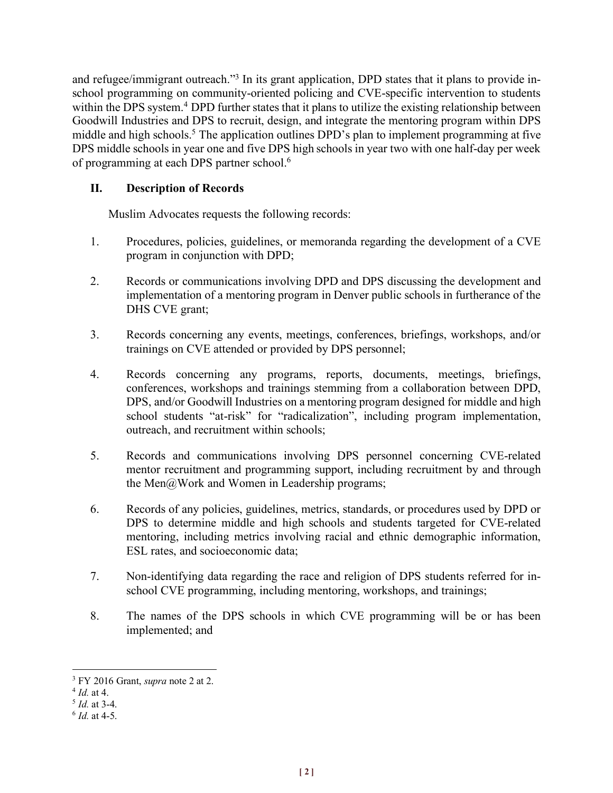and refugee/immigrant outreach."<sup>3</sup> In its grant application, DPD states that it plans to provide inschool programming on community-oriented policing and CVE-specific intervention to students within the DPS system.<sup>4</sup> DPD further states that it plans to utilize the existing relationship between Goodwill Industries and DPS to recruit, design, and integrate the mentoring program within DPS middle and high schools.<sup>5</sup> The application outlines DPD's plan to implement programming at five DPS middle schools in year one and five DPS high schools in year two with one half-day per week of programming at each DPS partner school.6

# **II. Description of Records**

Muslim Advocates requests the following records:

- 1. Procedures, policies, guidelines, or memoranda regarding the development of a CVE program in conjunction with DPD;
- 2. Records or communications involving DPD and DPS discussing the development and implementation of a mentoring program in Denver public schools in furtherance of the DHS CVE grant;
- 3. Records concerning any events, meetings, conferences, briefings, workshops, and/or trainings on CVE attended or provided by DPS personnel;
- 4. Records concerning any programs, reports, documents, meetings, briefings, conferences, workshops and trainings stemming from a collaboration between DPD, DPS, and/or Goodwill Industries on a mentoring program designed for middle and high school students "at-risk" for "radicalization", including program implementation, outreach, and recruitment within schools;
- 5. Records and communications involving DPS personnel concerning CVE-related mentor recruitment and programming support, including recruitment by and through the Men@Work and Women in Leadership programs;
- 6. Records of any policies, guidelines, metrics, standards, or procedures used by DPD or DPS to determine middle and high schools and students targeted for CVE-related mentoring, including metrics involving racial and ethnic demographic information, ESL rates, and socioeconomic data;
- 7. Non-identifying data regarding the race and religion of DPS students referred for inschool CVE programming, including mentoring, workshops, and trainings;
- 8. The names of the DPS schools in which CVE programming will be or has been implemented; and

 <sup>3</sup> FY 2016 Grant, *supra* note 2 at 2.

<sup>4</sup> *Id.* at 4.

<sup>5</sup> *Id.* at 3-4.

<sup>6</sup> *Id.* at 4-5.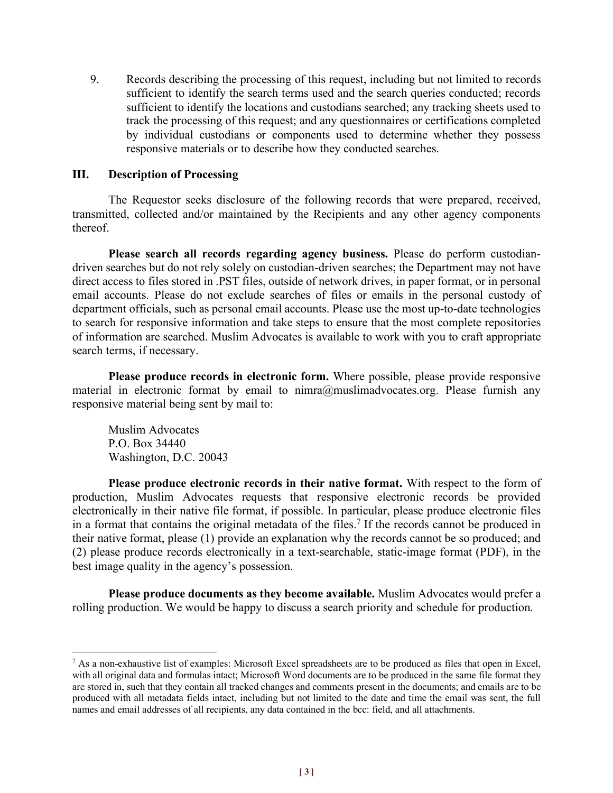9. Records describing the processing of this request, including but not limited to records sufficient to identify the search terms used and the search queries conducted; records sufficient to identify the locations and custodians searched; any tracking sheets used to track the processing of this request; and any questionnaires or certifications completed by individual custodians or components used to determine whether they possess responsive materials or to describe how they conducted searches.

#### **III. Description of Processing**

The Requestor seeks disclosure of the following records that were prepared, received, transmitted, collected and/or maintained by the Recipients and any other agency components thereof.

**Please search all records regarding agency business.** Please do perform custodiandriven searches but do not rely solely on custodian-driven searches; the Department may not have direct access to files stored in .PST files, outside of network drives, in paper format, or in personal email accounts. Please do not exclude searches of files or emails in the personal custody of department officials, such as personal email accounts. Please use the most up-to-date technologies to search for responsive information and take steps to ensure that the most complete repositories of information are searched. Muslim Advocates is available to work with you to craft appropriate search terms, if necessary.

**Please produce records in electronic form.** Where possible, please provide responsive material in electronic format by email to  $nimra@muslimadvocates.org$ . Please furnish any responsive material being sent by mail to:

Muslim Advocates P.O. Box 34440 Washington, D.C. 20043

**Please produce electronic records in their native format.** With respect to the form of production, Muslim Advocates requests that responsive electronic records be provided electronically in their native file format, if possible. In particular, please produce electronic files in a format that contains the original metadata of the files.<sup>7</sup> If the records cannot be produced in their native format, please (1) provide an explanation why the records cannot be so produced; and (2) please produce records electronically in a text-searchable, static-image format (PDF), in the best image quality in the agency's possession.

**Please produce documents as they become available.** Muslim Advocates would prefer a rolling production. We would be happy to discuss a search priority and schedule for production.

<sup>&</sup>lt;sup>7</sup> As a non-exhaustive list of examples: Microsoft Excel spreadsheets are to be produced as files that open in Excel, with all original data and formulas intact; Microsoft Word documents are to be produced in the same file format they are stored in, such that they contain all tracked changes and comments present in the documents; and emails are to be produced with all metadata fields intact, including but not limited to the date and time the email was sent, the full names and email addresses of all recipients, any data contained in the bcc: field, and all attachments.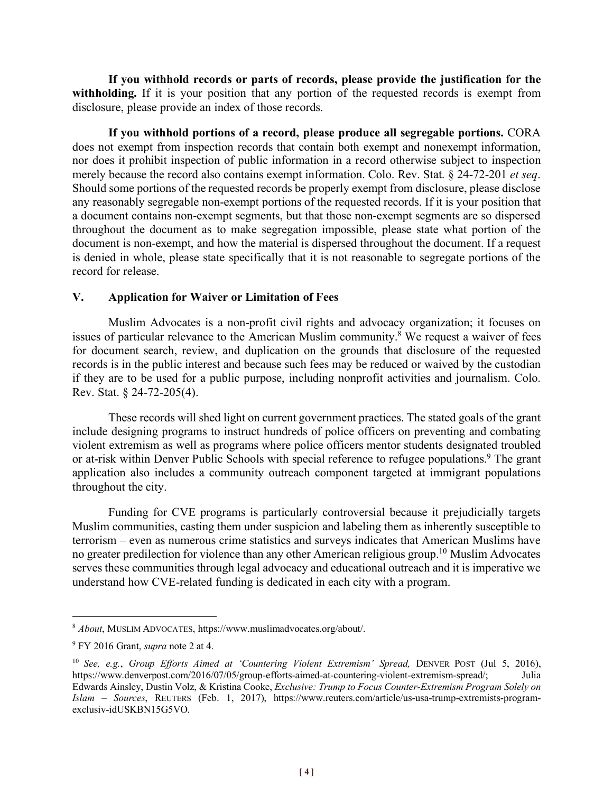**If you withhold records or parts of records, please provide the justification for the**  withholding. If it is your position that any portion of the requested records is exempt from disclosure, please provide an index of those records.

**If you withhold portions of a record, please produce all segregable portions.** CORA does not exempt from inspection records that contain both exempt and nonexempt information, nor does it prohibit inspection of public information in a record otherwise subject to inspection merely because the record also contains exempt information. Colo. Rev. Stat. § 24-72-201 *et seq*. Should some portions of the requested records be properly exempt from disclosure, please disclose any reasonably segregable non-exempt portions of the requested records. If it is your position that a document contains non-exempt segments, but that those non-exempt segments are so dispersed throughout the document as to make segregation impossible, please state what portion of the document is non-exempt, and how the material is dispersed throughout the document. If a request is denied in whole, please state specifically that it is not reasonable to segregate portions of the record for release.

### **V. Application for Waiver or Limitation of Fees**

Muslim Advocates is a non-profit civil rights and advocacy organization; it focuses on issues of particular relevance to the American Muslim community.<sup>8</sup> We request a waiver of fees for document search, review, and duplication on the grounds that disclosure of the requested records is in the public interest and because such fees may be reduced or waived by the custodian if they are to be used for a public purpose, including nonprofit activities and journalism. Colo. Rev. Stat. § 24-72-205(4).

These records will shed light on current government practices. The stated goals of the grant include designing programs to instruct hundreds of police officers on preventing and combating violent extremism as well as programs where police officers mentor students designated troubled or at-risk within Denver Public Schools with special reference to refugee populations. <sup>9</sup> The grant application also includes a community outreach component targeted at immigrant populations throughout the city.

Funding for CVE programs is particularly controversial because it prejudicially targets Muslim communities, casting them under suspicion and labeling them as inherently susceptible to terrorism – even as numerous crime statistics and surveys indicates that American Muslims have no greater predilection for violence than any other American religious group.10 Muslim Advocates serves these communities through legal advocacy and educational outreach and it is imperative we understand how CVE-related funding is dedicated in each city with a program.

 <sup>8</sup> *About*, MUSLIM ADVOCATES, https://www.muslimadvocates.org/about/.

<sup>9</sup> FY 2016 Grant, *supra* note 2 at 4.

<sup>&</sup>lt;sup>10</sup> *See, e.g., Group Efforts Aimed at 'Countering Violent Extremism' Spread, DENVER POST (Jul 5, 2016),* https://www.denverpost.com/2016/07/05/group-efforts-aimed-at-countering-violent-extremism-spread/; Julia Edwards Ainsley, Dustin Volz, & Kristina Cooke, *Exclusive: Trump to Focus Counter-Extremism Program Solely on Islam – Sources*, REUTERS (Feb. 1, 2017), https://www.reuters.com/article/us-usa-trump-extremists-programexclusiv-idUSKBN15G5VO.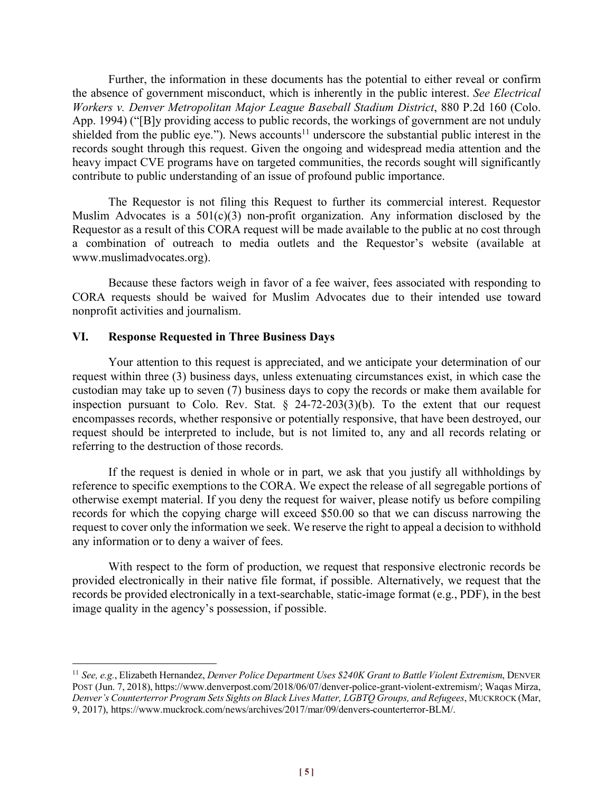Further, the information in these documents has the potential to either reveal or confirm the absence of government misconduct, which is inherently in the public interest. *See Electrical Workers v. Denver Metropolitan Major League Baseball Stadium District*, 880 P.2d 160 (Colo. App. 1994) ("[B]y providing access to public records, the workings of government are not unduly shielded from the public eye."). News accounts<sup>11</sup> underscore the substantial public interest in the records sought through this request. Given the ongoing and widespread media attention and the heavy impact CVE programs have on targeted communities, the records sought will significantly contribute to public understanding of an issue of profound public importance.

The Requestor is not filing this Request to further its commercial interest. Requestor Muslim Advocates is a  $501(c)(3)$  non-profit organization. Any information disclosed by the Requestor as a result of this CORA request will be made available to the public at no cost through a combination of outreach to media outlets and the Requestor's website (available at www.muslimadvocates.org).

Because these factors weigh in favor of a fee waiver, fees associated with responding to CORA requests should be waived for Muslim Advocates due to their intended use toward nonprofit activities and journalism.

### **VI. Response Requested in Three Business Days**

Your attention to this request is appreciated, and we anticipate your determination of our request within three (3) business days, unless extenuating circumstances exist, in which case the custodian may take up to seven (7) business days to copy the records or make them available for inspection pursuant to Colo. Rev. Stat.  $\S$  24-72-203(3)(b). To the extent that our request encompasses records, whether responsive or potentially responsive, that have been destroyed, our request should be interpreted to include, but is not limited to, any and all records relating or referring to the destruction of those records.

If the request is denied in whole or in part, we ask that you justify all withholdings by reference to specific exemptions to the CORA. We expect the release of all segregable portions of otherwise exempt material. If you deny the request for waiver, please notify us before compiling records for which the copying charge will exceed \$50.00 so that we can discuss narrowing the request to cover only the information we seek. We reserve the right to appeal a decision to withhold any information or to deny a waiver of fees.

With respect to the form of production, we request that responsive electronic records be provided electronically in their native file format, if possible. Alternatively, we request that the records be provided electronically in a text-searchable, static-image format (e.g., PDF), in the best image quality in the agency's possession, if possible.

 <sup>11</sup> *See, e.g.*, Elizabeth Hernandez, *Denver Police Department Uses \$240K Grant to Battle Violent Extremism*, DENVER POST (Jun. 7, 2018), https://www.denverpost.com/2018/06/07/denver-police-grant-violent-extremism/; Waqas Mirza, *Denver's Counterterror Program Sets Sights on Black Lives Matter, LGBTQ Groups, and Refugees*, MUCKROCK (Mar, 9, 2017), https://www.muckrock.com/news/archives/2017/mar/09/denvers-counterterror-BLM/.